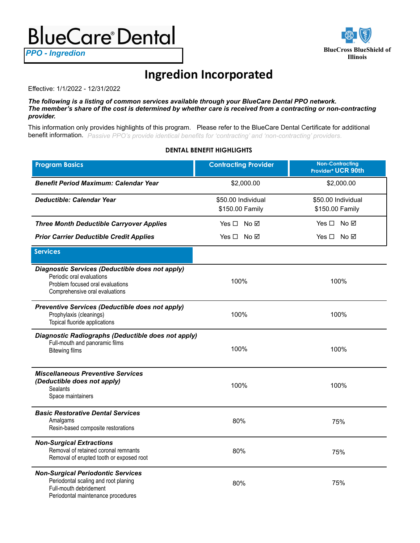## **BlueCare Dental**

**Illinois** *PPO - Ingredion*



## **Ingredion Incorporated**

Effective: 1/1/2022 - 12/31/2022

*The following is a listing of common services available through your BlueCare Dental PPO network. The member's share of the cost is determined by whether care is received from a contracting or non-contracting provider.*

This information only provides highlights of this program. Please refer to the BlueCare Dental Certificate for additional benefit information. *Passive PPO's provide identical benefits for 'contracting' and 'non-contracting' providers*.

## **DENTAL BENEFIT HIGHLIGHTS**

| <b>Program Basics</b>                                                                                                                              | <b>Contracting Provider</b>           | <b>Non-Contracting</b><br>Provider* UCR 90th |
|----------------------------------------------------------------------------------------------------------------------------------------------------|---------------------------------------|----------------------------------------------|
| <b>Benefit Period Maximum: Calendar Year</b>                                                                                                       | \$2,000.00                            | \$2,000.00                                   |
| <b>Deductible: Calendar Year</b>                                                                                                                   | \$50.00 Individual<br>\$150.00 Family | \$50.00 Individual<br>\$150.00 Family        |
|                                                                                                                                                    |                                       |                                              |
| <b>Three Month Deductible Carryover Applies</b>                                                                                                    | Yes □ No ☑                            | $Yes \Box No \Box$                           |
| <b>Prior Carrier Deductible Credit Applies</b>                                                                                                     | $Yes \Box No \boxtimes$               | Yes □ No ☑                                   |
| <b>Services</b>                                                                                                                                    |                                       |                                              |
| Diagnostic Services (Deductible does not apply)<br>Periodic oral evaluations<br>Problem focused oral evaluations<br>Comprehensive oral evaluations | 100%                                  | 100%                                         |
| Preventive Services (Deductible does not apply)<br>Prophylaxis (cleanings)<br>Topical fluoride applications                                        | 100%                                  | 100%                                         |
| Diagnostic Radiographs (Deductible does not apply)<br>Full-mouth and panoramic films<br><b>Bitewing films</b>                                      | 100%                                  | 100%                                         |
| <b>Miscellaneous Preventive Services</b><br>(Deductible does not apply)<br><b>Sealants</b><br>Space maintainers                                    | 100%                                  | 100%                                         |
| <b>Basic Restorative Dental Services</b><br>Amalgams<br>Resin-based composite restorations                                                         | 80%                                   | 75%                                          |
| <b>Non-Surgical Extractions</b><br>Removal of retained coronal remnants<br>Removal of erupted tooth or exposed root                                | 80%                                   | 75%                                          |
| <b>Non-Surgical Periodontic Services</b><br>Periodontal scaling and root planing<br>Full-mouth debridement<br>Periodontal maintenance procedures   | 80%                                   | 75%                                          |